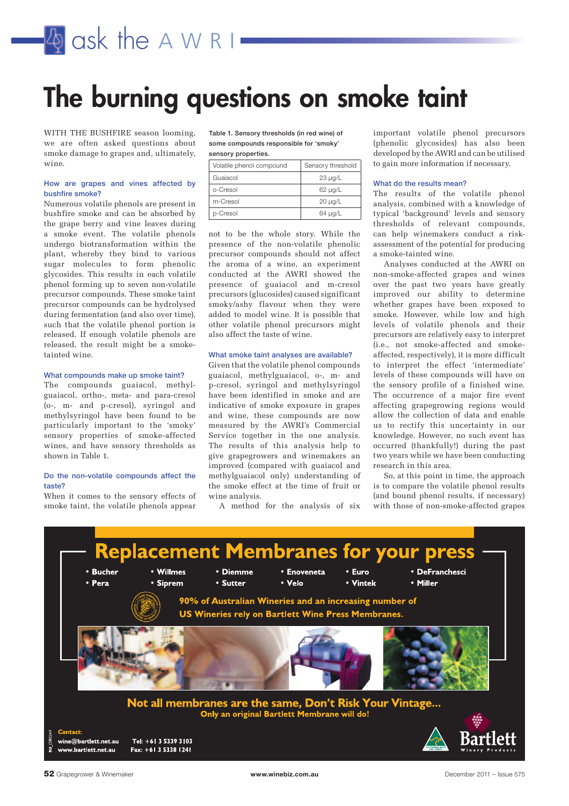

## **The burning questions on smoke taint**

WITH THE BUSHFIRE season looming, we are often asked questions about smoke damage to grapes and, ultimately, wine.

#### **How are grapes and vines affected by bushfire smoke?**

Numerous volatile phenols are present in bushfire smoke and can be absorbed by the grape berry and vine leaves during a smoke event. The volatile phenols undergo biotransformation within the plant, whereby they bind to various sugar molecules to form phenolic glycosides. This results in each volatile phenol forming up to seven non-volatile precursor compounds. These smoke taint precursor compounds can be hydrolysed during fermentation (and also over time), such that the volatile phenol portion is released. If enough volatile phenols are released, the result might be a smoketainted wine.

#### **What compounds make up smoke taint?**

The compounds guaiacol, methylguaiacol, ortho-, meta- and para-cresol (o-, m- and p-cresol), syringol and methylsyringol have been found to be particularly important to the 'smoky' sensory properties of smoke-affected wines, and have sensory thresholds as shown in Table 1.

#### **Do the non-volatile compounds affect the taste?**

When it comes to the sensory effects of smoke taint, the volatile phenols appear **Table 1. Sensory thresholds (in red wine) of some compounds responsible for 'smoky' sensory properties.**

|  | Volatile phenol compound | Sensory threshold |
|--|--------------------------|-------------------|
|  | Guaiacol                 | $23 \mu q/L$      |
|  | o-Cresol                 | $62 \mu q/L$      |
|  | m-Cresol                 | $20 \mu q/L$      |
|  | p-Cresol                 | $64 \mu g/L$      |

not to be the whole story. While the presence of the non-volatile phenolic precursor compounds should not affect the aroma of a wine, an experiment conducted at the AWRI showed the presence of guaiacol and m-cresol precursors (glucosides) caused significant smoky/ashy flavour when they were added to model wine. It is possible that other volatile phenol precursors might also affect the taste of wine.

#### **What smoke taint analyses are available?**

Given that the volatile phenol compounds guaiacol, methylguaiacol, o-, m- and p-cresol, syringol and methylsyringol have been identified in smoke and are indicative of smoke exposure in grapes and wine, these compounds are now measured by the AWRI's Commercial Service together in the one analysis. The results of this analysis help to give grapegrowers and winemakers an improved (compared with guaiacol and methylguaiacol only) understanding of the smoke effect at the time of fruit or wine analysis.

A method for the analysis of six

important volatile phenol precursors (phenolic glycosides) has also been developed by the AWRI and can be utilised to gain more information if necessary.

#### **What do the results mean?**

The results of the volatile phenol analysis, combined with a knowledge of typical 'background' levels and sensory thresholds of relevant compounds, can help winemakers conduct a riskassessment of the potential for producing a smoke-tainted wine.

Analyses conducted at the AWRI on non-smoke-affected grapes and wines over the past two years have greatly improved our ability to determine whether grapes have been exposed to smoke. However, while low and high levels of volatile phenols and their precursors are relatively easy to interpret (i.e., not smoke-affected and smokeaffected, respectively), it is more difficult to interpret the effect 'intermediate' levels of these compounds will have on the sensory profile of a finished wine. The occurrence of a major fire event affecting grapegrowing regions would allow the collection of data and enable us to rectify this uncertainty in our knowledge. However, no such event has occurred (thankfully!) during the past two years while we have been conducting research in this area.

So, at this point in time, the approach is to compare the volatile phenol results (and bound phenol results, if necessary) with those of non-smoke-affected grapes